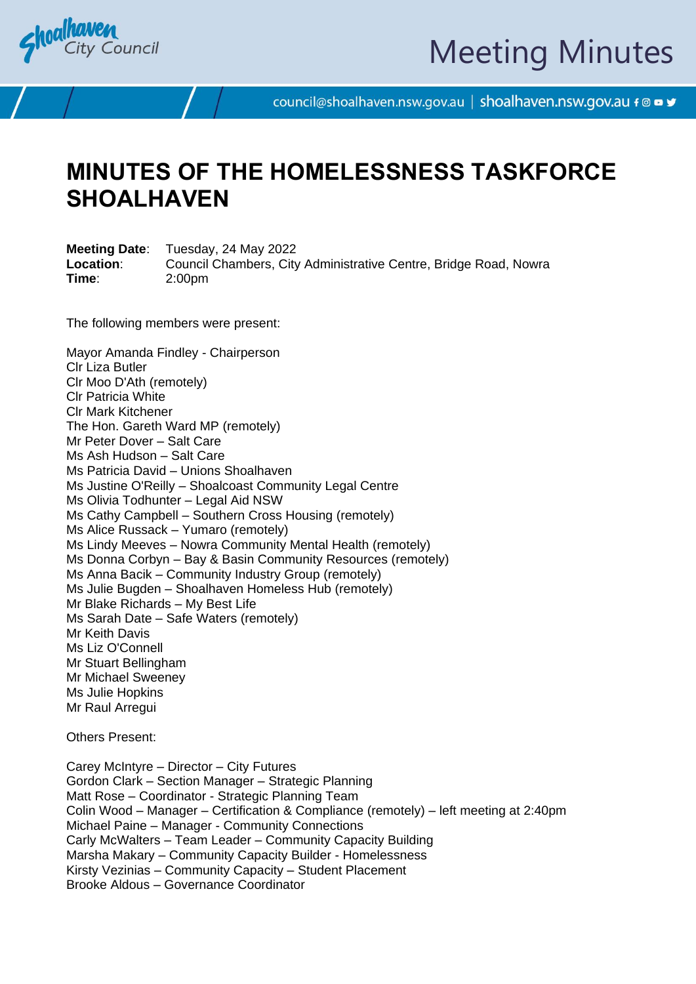

# Meeting Minutes

council@shoalhaven.nsw.gov.au | shoalhaven.nsw.gov.au f @ ■ y

### **MINUTES OF THE HOMELESSNESS TASKFORCE SHOALHAVEN**

**Meeting Date**: Tuesday, 24 May 2022 **Location**: Council Chambers, City Administrative Centre, Bridge Road, Nowra **Time**: 2:00pm

The following members were present:

Mayor Amanda Findley - Chairperson Clr Liza Butler Clr Moo D'Ath (remotely) Clr Patricia White Clr Mark Kitchener The Hon. Gareth Ward MP (remotely) Mr Peter Dover – Salt Care Ms Ash Hudson – Salt Care Ms Patricia David – Unions Shoalhaven Ms Justine O'Reilly – Shoalcoast Community Legal Centre Ms Olivia Todhunter – Legal Aid NSW Ms Cathy Campbell – Southern Cross Housing (remotely) Ms Alice Russack – Yumaro (remotely) Ms Lindy Meeves – Nowra Community Mental Health (remotely) Ms Donna Corbyn – Bay & Basin Community Resources (remotely) Ms Anna Bacik – Community Industry Group (remotely) Ms Julie Bugden – Shoalhaven Homeless Hub (remotely) Mr Blake Richards – My Best Life Ms Sarah Date – Safe Waters (remotely) Mr Keith Davis Ms Liz O'Connell Mr Stuart Bellingham Mr Michael Sweeney Ms Julie Hopkins Mr Raul Arregui

Others Present:

Carey McIntyre – Director – City Futures Gordon Clark – Section Manager – Strategic Planning Matt Rose – Coordinator - Strategic Planning Team Colin Wood – Manager – Certification & Compliance (remotely) – left meeting at 2:40pm Michael Paine – Manager - Community Connections Carly McWalters – Team Leader – Community Capacity Building Marsha Makary – Community Capacity Builder - Homelessness Kirsty Vezinias – Community Capacity – Student Placement Brooke Aldous – Governance Coordinator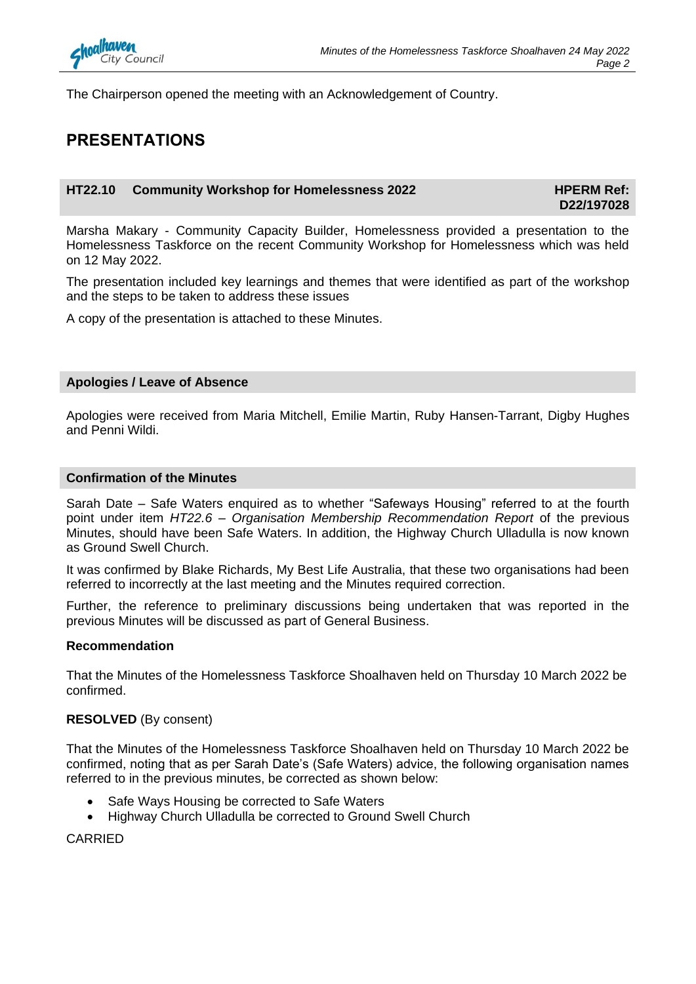

The Chairperson opened the meeting with an Acknowledgement of Country.

### **PRESENTATIONS**

### **HT22.10** Community Workshop for Homelessness 2022 **HPERM Ref:**

**D22/197028**

Marsha Makary - Community Capacity Builder, Homelessness provided a presentation to the Homelessness Taskforce on the recent Community Workshop for Homelessness which was held on 12 May 2022.

The presentation included key learnings and themes that were identified as part of the workshop and the steps to be taken to address these issues

A copy of the presentation is attached to these Minutes.

### **Apologies / Leave of Absence**

Apologies were received from Maria Mitchell, Emilie Martin, Ruby Hansen-Tarrant, Digby Hughes and Penni Wildi.

#### **Confirmation of the Minutes**

Sarah Date – Safe Waters enquired as to whether "Safeways Housing" referred to at the fourth point under item *HT22.6 – Organisation Membership Recommendation Report* of the previous Minutes, should have been Safe Waters. In addition, the Highway Church Ulladulla is now known as Ground Swell Church.

It was confirmed by Blake Richards, My Best Life Australia, that these two organisations had been referred to incorrectly at the last meeting and the Minutes required correction.

Further, the reference to preliminary discussions being undertaken that was reported in the previous Minutes will be discussed as part of General Business.

### **Recommendation**

That the Minutes of the Homelessness Taskforce Shoalhaven held on Thursday 10 March 2022 be confirmed.

### **RESOLVED** (By consent)

That the Minutes of the Homelessness Taskforce Shoalhaven held on Thursday 10 March 2022 be confirmed, noting that as per Sarah Date's (Safe Waters) advice, the following organisation names referred to in the previous minutes, be corrected as shown below:

- Safe Ways Housing be corrected to Safe Waters
- Highway Church Ulladulla be corrected to Ground Swell Church

CARRIED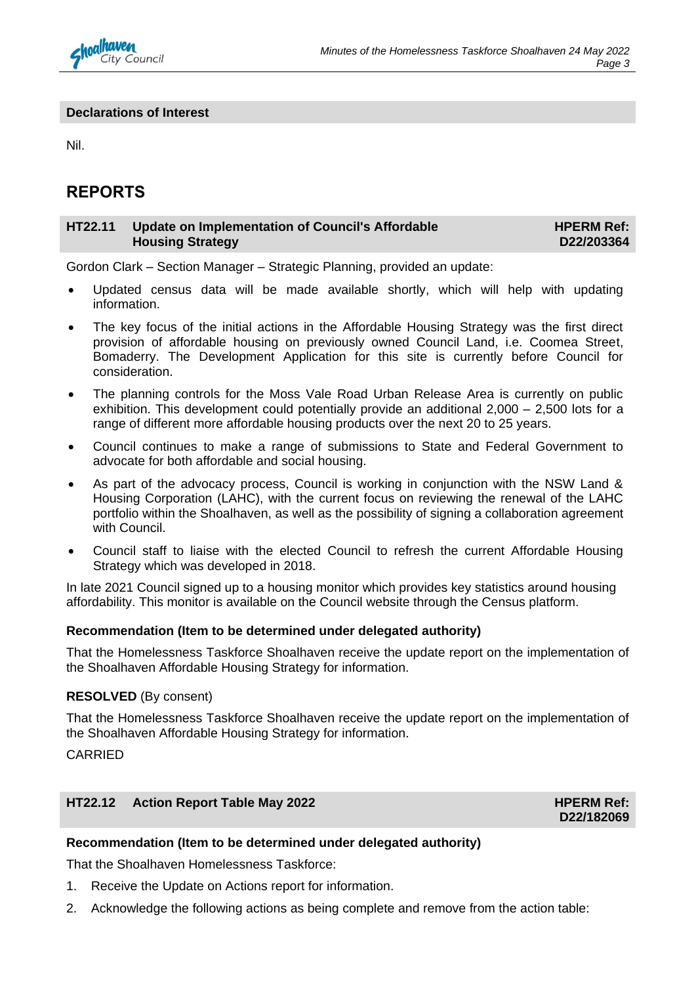

### **Declarations of Interest**

Nil.

### **REPORTS**

#### **HT22.11 Update on Implementation of Council's Affordable Housing Strategy HPERM Ref: D22/203364**

Gordon Clark – Section Manager – Strategic Planning, provided an update:

- Updated census data will be made available shortly, which will help with updating information.
- The key focus of the initial actions in the Affordable Housing Strategy was the first direct provision of affordable housing on previously owned Council Land, i.e. Coomea Street, Bomaderry. The Development Application for this site is currently before Council for consideration.
- The planning controls for the Moss Vale Road Urban Release Area is currently on public exhibition. This development could potentially provide an additional 2,000 – 2,500 lots for a range of different more affordable housing products over the next 20 to 25 years.
- Council continues to make a range of submissions to State and Federal Government to advocate for both affordable and social housing.
- As part of the advocacy process, Council is working in conjunction with the NSW Land & Housing Corporation (LAHC), with the current focus on reviewing the renewal of the LAHC portfolio within the Shoalhaven, as well as the possibility of signing a collaboration agreement with Council.
- Council staff to liaise with the elected Council to refresh the current Affordable Housing Strategy which was developed in 2018.

In late 2021 Council signed up to a housing monitor which provides key statistics around housing affordability. This monitor is available on the Council website through the Census platform.

### **Recommendation (Item to be determined under delegated authority)**

That the Homelessness Taskforce Shoalhaven receive the update report on the implementation of the Shoalhaven Affordable Housing Strategy for information.

### **RESOLVED** (By consent)

That the Homelessness Taskforce Shoalhaven receive the update report on the implementation of the Shoalhaven Affordable Housing Strategy for information.

CARRIED

### **HT22.12** Action Report Table May 2022 **HPERM Ref: HPERM Ref:**

**D22/182069**

### **Recommendation (Item to be determined under delegated authority)**

That the Shoalhaven Homelessness Taskforce:

- 1. Receive the Update on Actions report for information.
- 2. Acknowledge the following actions as being complete and remove from the action table: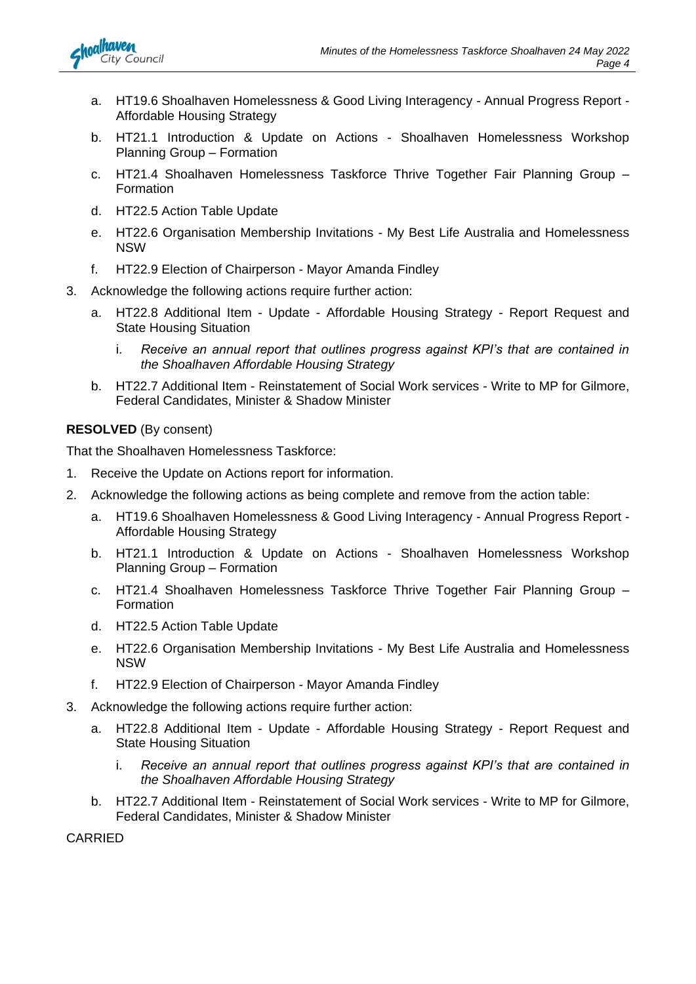

- a. HT19.6 Shoalhaven Homelessness & Good Living Interagency Annual Progress Report Affordable Housing Strategy
- b. HT21.1 Introduction & Update on Actions Shoalhaven Homelessness Workshop Planning Group – Formation
- c. HT21.4 Shoalhaven Homelessness Taskforce Thrive Together Fair Planning Group **Formation**
- d. HT22.5 Action Table Update
- e. HT22.6 Organisation Membership Invitations My Best Life Australia and Homelessness NSW
- f. HT22.9 Election of Chairperson Mayor Amanda Findley
- 3. Acknowledge the following actions require further action:
	- a. HT22.8 Additional Item Update Affordable Housing Strategy Report Request and State Housing Situation
		- i. *Receive an annual report that outlines progress against KPI's that are contained in the Shoalhaven Affordable Housing Strategy*
	- b. HT22.7 Additional Item Reinstatement of Social Work services Write to MP for Gilmore, Federal Candidates, Minister & Shadow Minister

### **RESOLVED** (By consent)

That the Shoalhaven Homelessness Taskforce:

- 1. Receive the Update on Actions report for information.
- 2. Acknowledge the following actions as being complete and remove from the action table:
	- a. HT19.6 Shoalhaven Homelessness & Good Living Interagency Annual Progress Report Affordable Housing Strategy
	- b. HT21.1 Introduction & Update on Actions Shoalhaven Homelessness Workshop Planning Group – Formation
	- c. HT21.4 Shoalhaven Homelessness Taskforce Thrive Together Fair Planning Group Formation
	- d. HT22.5 Action Table Update
	- e. HT22.6 Organisation Membership Invitations My Best Life Australia and Homelessness NSW
	- f. HT22.9 Election of Chairperson Mayor Amanda Findley
- 3. Acknowledge the following actions require further action:
	- a. HT22.8 Additional Item Update Affordable Housing Strategy Report Request and State Housing Situation
		- i. *Receive an annual report that outlines progress against KPI's that are contained in the Shoalhaven Affordable Housing Strategy*
	- b. HT22.7 Additional Item Reinstatement of Social Work services Write to MP for Gilmore, Federal Candidates, Minister & Shadow Minister

CARRIED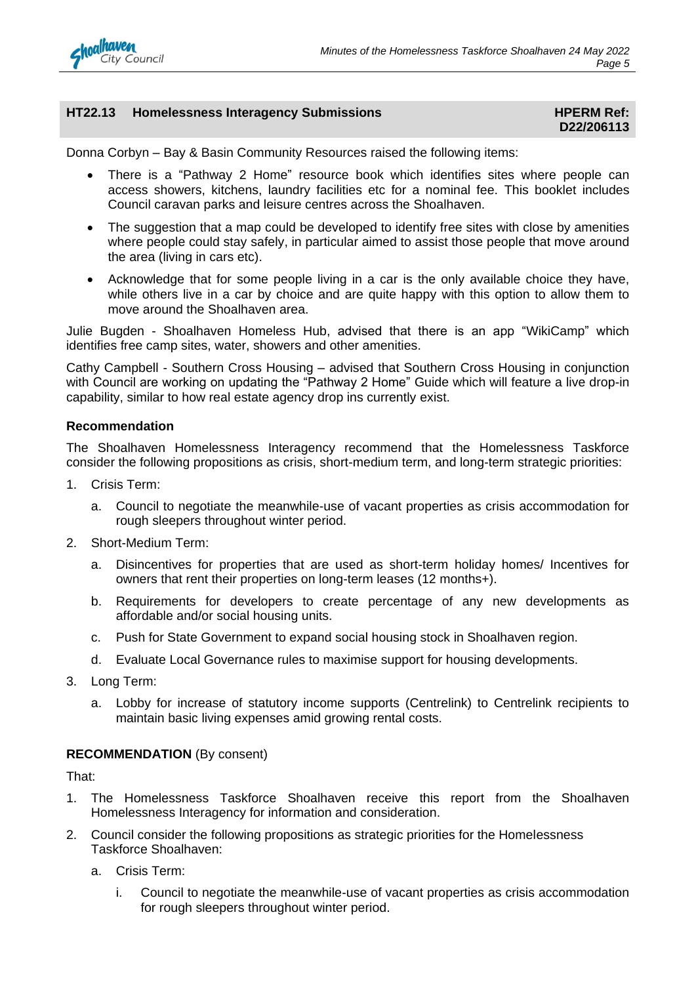

### **HT22.13 Homelessness Interagency Submissions HELL ASSESSMENT REFERM Ref: HPERM Ref:**

## **D22/206113**

Donna Corbyn – Bay & Basin Community Resources raised the following items:

- There is a "Pathway 2 Home" resource book which identifies sites where people can access showers, kitchens, laundry facilities etc for a nominal fee. This booklet includes Council caravan parks and leisure centres across the Shoalhaven.
- The suggestion that a map could be developed to identify free sites with close by amenities where people could stay safely, in particular aimed to assist those people that move around the area (living in cars etc).
- Acknowledge that for some people living in a car is the only available choice they have, while others live in a car by choice and are quite happy with this option to allow them to move around the Shoalhaven area.

Julie Bugden - Shoalhaven Homeless Hub, advised that there is an app "WikiCamp" which identifies free camp sites, water, showers and other amenities.

Cathy Campbell - Southern Cross Housing – advised that Southern Cross Housing in conjunction with Council are working on updating the "Pathway 2 Home" Guide which will feature a live drop-in capability, similar to how real estate agency drop ins currently exist.

### **Recommendation**

The Shoalhaven Homelessness Interagency recommend that the Homelessness Taskforce consider the following propositions as crisis, short-medium term, and long-term strategic priorities:

- 1. Crisis Term:
	- a. Council to negotiate the meanwhile-use of vacant properties as crisis accommodation for rough sleepers throughout winter period.
- 2. Short-Medium Term:
	- a. Disincentives for properties that are used as short-term holiday homes/ Incentives for owners that rent their properties on long-term leases (12 months+).
	- b. Requirements for developers to create percentage of any new developments as affordable and/or social housing units.
	- c. Push for State Government to expand social housing stock in Shoalhaven region.
	- d. Evaluate Local Governance rules to maximise support for housing developments.
- 3. Long Term:
	- a. Lobby for increase of statutory income supports (Centrelink) to Centrelink recipients to maintain basic living expenses amid growing rental costs.

### **RECOMMENDATION** (By consent)

That:

- 1. The Homelessness Taskforce Shoalhaven receive this report from the Shoalhaven Homelessness Interagency for information and consideration.
- 2. Council consider the following propositions as strategic priorities for the Homelessness Taskforce Shoalhaven:
	- a. Crisis Term:
		- i. Council to negotiate the meanwhile-use of vacant properties as crisis accommodation for rough sleepers throughout winter period.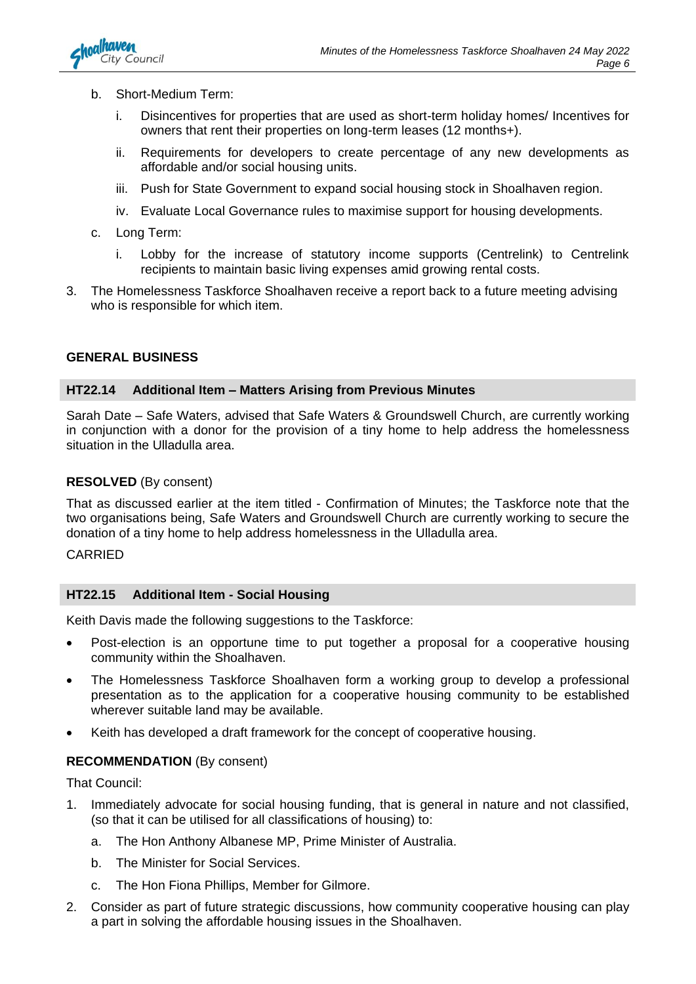

- b. Short-Medium Term:
	- i. Disincentives for properties that are used as short-term holiday homes/ Incentives for owners that rent their properties on long-term leases (12 months+).
	- ii. Requirements for developers to create percentage of any new developments as affordable and/or social housing units.
	- iii. Push for State Government to expand social housing stock in Shoalhaven region.
	- iv. Evaluate Local Governance rules to maximise support for housing developments.
- c. Long Term:
	- i. Lobby for the increase of statutory income supports (Centrelink) to Centrelink recipients to maintain basic living expenses amid growing rental costs.
- 3. The Homelessness Taskforce Shoalhaven receive a report back to a future meeting advising who is responsible for which item.

### **GENERAL BUSINESS**

### **HT22.14 Additional Item – Matters Arising from Previous Minutes**

Sarah Date – Safe Waters, advised that Safe Waters & Groundswell Church, are currently working in conjunction with a donor for the provision of a tiny home to help address the homelessness situation in the Ulladulla area.

### **RESOLVED** (By consent)

That as discussed earlier at the item titled - Confirmation of Minutes; the Taskforce note that the two organisations being, Safe Waters and Groundswell Church are currently working to secure the donation of a tiny home to help address homelessness in the Ulladulla area.

### CARRIED

### **HT22.15 Additional Item - Social Housing**

Keith Davis made the following suggestions to the Taskforce:

- Post-election is an opportune time to put together a proposal for a cooperative housing community within the Shoalhaven.
- The Homelessness Taskforce Shoalhaven form a working group to develop a professional presentation as to the application for a cooperative housing community to be established wherever suitable land may be available.
- Keith has developed a draft framework for the concept of cooperative housing.

### **RECOMMENDATION** (By consent)

That Council:

- 1. Immediately advocate for social housing funding, that is general in nature and not classified, (so that it can be utilised for all classifications of housing) to:
	- a. The Hon Anthony Albanese MP, Prime Minister of Australia.
	- b. The Minister for Social Services.
	- c. The Hon Fiona Phillips, Member for Gilmore.
- 2. Consider as part of future strategic discussions, how community cooperative housing can play a part in solving the affordable housing issues in the Shoalhaven.